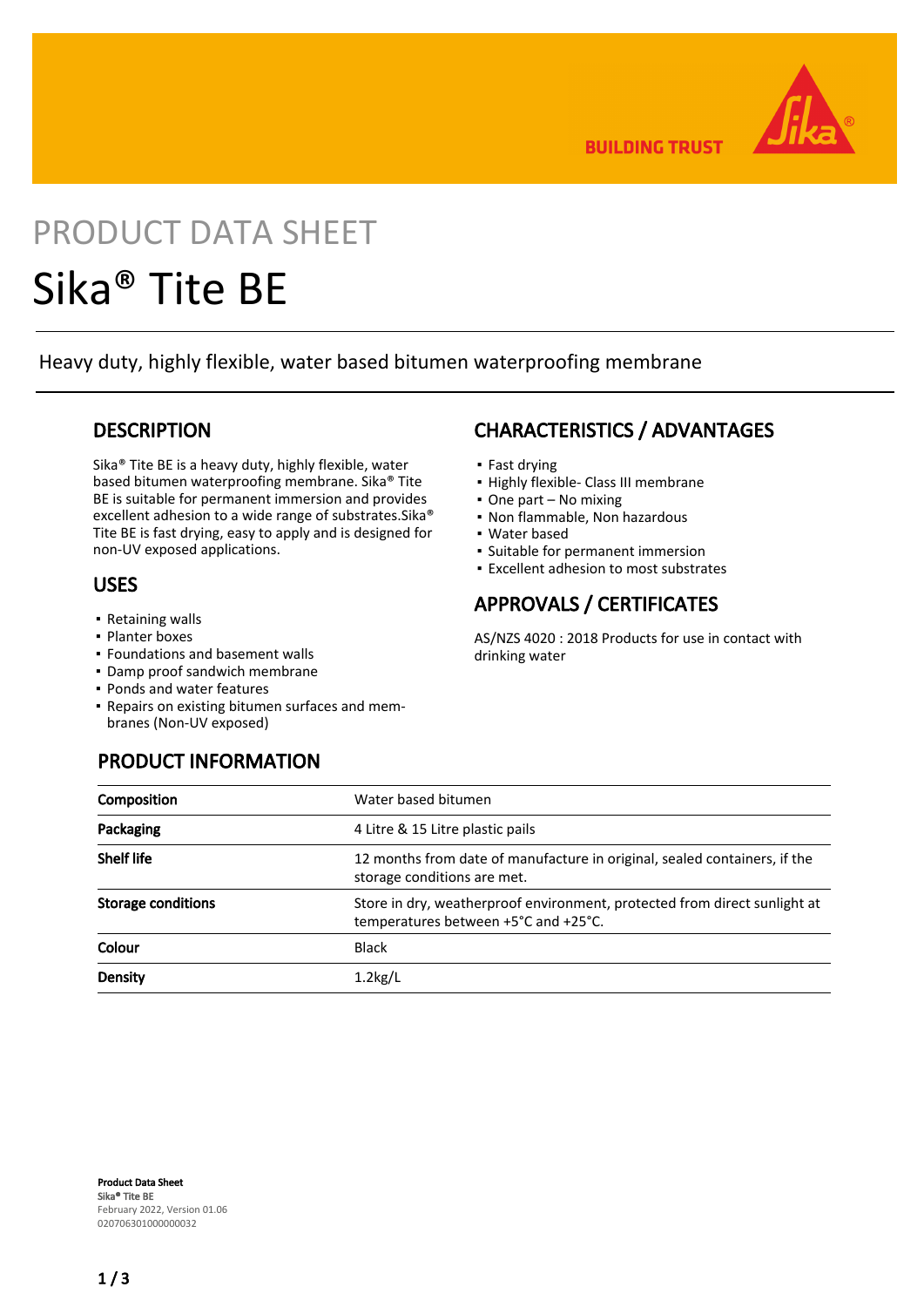

**BUILDING TRUST** 

# PRODUCT DATA SHEET Sika® Tite BE

Heavy duty, highly flexible, water based bitumen waterproofing membrane

## **DESCRIPTION**

Sika® Tite BE is a heavy duty, highly flexible, water based bitumen waterproofing membrane. Sika® Tite BE is suitable for permanent immersion and provides excellent adhesion to a wide range of substrates.Sika® Tite BE is fast drying, easy to apply and is designed for non-UV exposed applications.

## USES

- Retaining walls
- Planter boxes
- Foundations and basement walls
- Damp proof sandwich membrane
- Ponds and water features
- Repairs on existing bitumen surfaces and mem-▪ branes (Non-UV exposed)

# CHARACTERISTICS / ADVANTAGES

- Fast drying
- Highly flexible- Class III membrane
- One part No mixing
- Non flammable, Non hazardous
- Water based
- Suitable for permanent immersion
- Excellent adhesion to most substrates

# APPROVALS / CERTIFICATES

AS/NZS 4020 : 2018 Products for use in contact with drinking water

| <b>PRODUCT INFORMATION</b> |  |
|----------------------------|--|
|                            |  |

| Composition               | Water based bitumen                                                                                               |
|---------------------------|-------------------------------------------------------------------------------------------------------------------|
| Packaging                 | 4 Litre & 15 Litre plastic pails                                                                                  |
| <b>Shelf life</b>         | 12 months from date of manufacture in original, sealed containers, if the<br>storage conditions are met.          |
| <b>Storage conditions</b> | Store in dry, weatherproof environment, protected from direct sunlight at<br>temperatures between +5°C and +25°C. |
| Colour                    | <b>Black</b>                                                                                                      |
| <b>Density</b>            | $1.2$ kg/L                                                                                                        |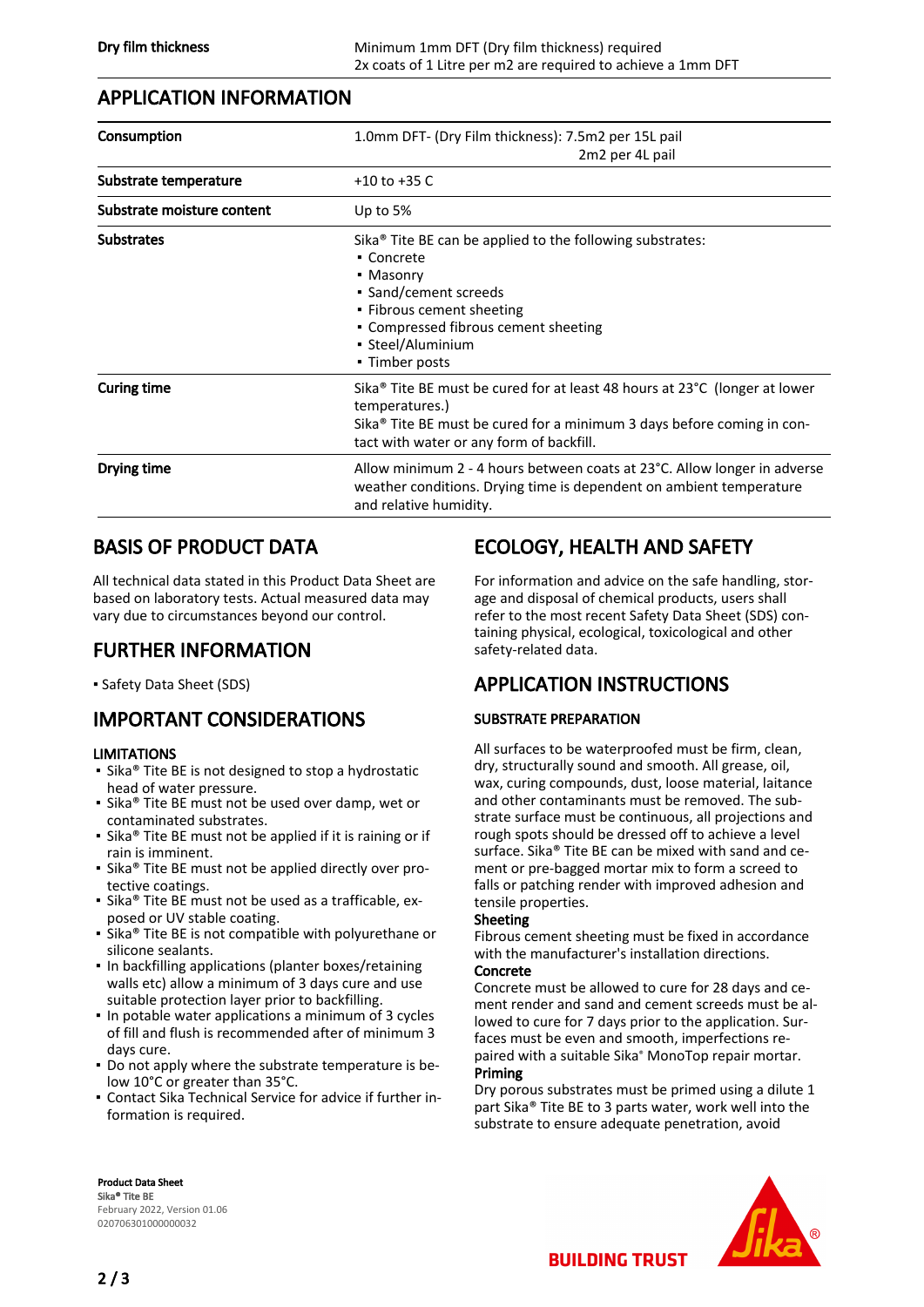## APPLICATION INFORMATION

| Consumption                | 1.0mm DFT- (Dry Film thickness): 7.5m2 per 15L pail<br>2m2 per 4L pail                                                                                                                                                                |
|----------------------------|---------------------------------------------------------------------------------------------------------------------------------------------------------------------------------------------------------------------------------------|
| Substrate temperature      | $+10$ to $+35$ C                                                                                                                                                                                                                      |
| Substrate moisture content | Up to $5%$                                                                                                                                                                                                                            |
| <b>Substrates</b>          | Sika <sup>®</sup> Tite BE can be applied to the following substrates:<br>• Concrete<br>• Masonry<br>• Sand/cement screeds<br>• Fibrous cement sheeting<br>• Compressed fibrous cement sheeting<br>• Steel/Aluminium<br>• Timber posts |
| <b>Curing time</b>         | Sika® Tite BE must be cured for at least 48 hours at 23°C (longer at lower<br>temperatures.)<br>Sika <sup>®</sup> Tite BE must be cured for a minimum 3 days before coming in con-<br>tact with water or any form of backfill.        |
| Drying time                | Allow minimum 2 - 4 hours between coats at 23°C. Allow longer in adverse<br>weather conditions. Drying time is dependent on ambient temperature<br>and relative humidity.                                                             |

# BASIS OF PRODUCT DATA

All technical data stated in this Product Data Sheet are based on laboratory tests. Actual measured data may vary due to circumstances beyond our control.

# FURTHER INFORMATION

▪ Safety Data Sheet (SDS)

# IMPORTANT CONSIDERATIONS

### LIMITATIONS

- Sika® Tite BE is not designed to stop a hydrostatic head of water pressure.
- Sika® Tite BE must not be used over damp, wet or contaminated substrates.
- Sika® Tite BE must not be applied if it is raining or if rain is imminent.
- Sika® Tite BE must not be applied directly over protective coatings.
- Sika® Tite BE must not be used as a trafficable, exposed or UV stable coating.
- Sika® Tite BE is not compatible with polyurethane or silicone sealants.
- **.** In backfilling applications (planter boxes/retaining walls etc) allow a minimum of 3 days cure and use suitable protection layer prior to backfilling.
- **.** In potable water applications a minimum of 3 cycles of fill and flush is recommended after of minimum 3 days cure.
- Do not apply where the substrate temperature is be-▪ low 10°C or greater than 35°C.
- Contact Sika Technical Service for advice if further in-▪ formation is required.

# ECOLOGY, HEALTH AND SAFETY

For information and advice on the safe handling, storage and disposal of chemical products, users shall refer to the most recent Safety Data Sheet (SDS) containing physical, ecological, toxicological and other safety-related data.

# APPLICATION INSTRUCTIONS

## SUBSTRATE PREPARATION

All surfaces to be waterproofed must be firm, clean, dry, structurally sound and smooth. All grease, oil, wax, curing compounds, dust, loose material, laitance and other contaminants must be removed. The substrate surface must be continuous, all projections and rough spots should be dressed off to achieve a level surface. Sika® Tite BE can be mixed with sand and cement or pre-bagged mortar mix to form a screed to falls or patching render with improved adhesion and tensile properties.

#### Sheeting

Fibrous cement sheeting must be fixed in accordance with the manufacturer's installation directions.

#### Concrete

Concrete must be allowed to cure for 28 days and cement render and sand and cement screeds must be allowed to cure for 7 days prior to the application. Surfaces must be even and smooth, imperfections repaired with a suitable Sika® MonoTop repair mortar. Priming

Dry porous substrates must be primed using a dilute 1 part Sika® Tite BE to 3 parts water, work well into the substrate to ensure adequate penetration, avoid

**BUILDING TRUST** 



Product Data Sheet Sika® Tite BE February 2022, Version 01.06 020706301000000032